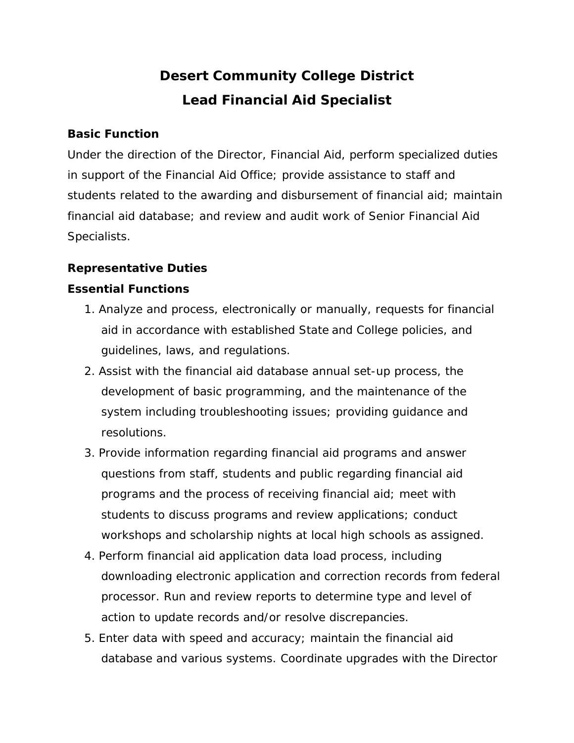# **Desert Community College District Lead Financial Aid Specialist**

#### **Basic Function**

Under the direction of the Director, Financial Aid, perform specialized duties in support of the Financial Aid Office; provide assistance to staff and students related to the awarding and disbursement of financial aid; maintain financial aid database; and review and audit work of Senior Financial Aid Specialists.

## **Representative Duties**

## **Essential Functions**

- 1. Analyze and process, electronically or manually, requests for financial aid in accordance with established State and College policies, and guidelines, laws, and regulations.
- 2. Assist with the financial aid database annual set-up process, the development of basic programming, and the maintenance of the system including troubleshooting issues; providing guidance and resolutions.
- 3. Provide information regarding financial aid programs and answer questions from staff, students and public regarding financial aid programs and the process of receiving financial aid; meet with students to discuss programs and review applications; conduct workshops and scholarship nights at local high schools as assigned.
- 4. Perform financial aid application data load process, including downloading electronic application and correction records from federal processor. Run and review reports to determine type and level of action to update records and/or resolve discrepancies.
- 5. Enter data with speed and accuracy; maintain the financial aid database and various systems. Coordinate upgrades with the Director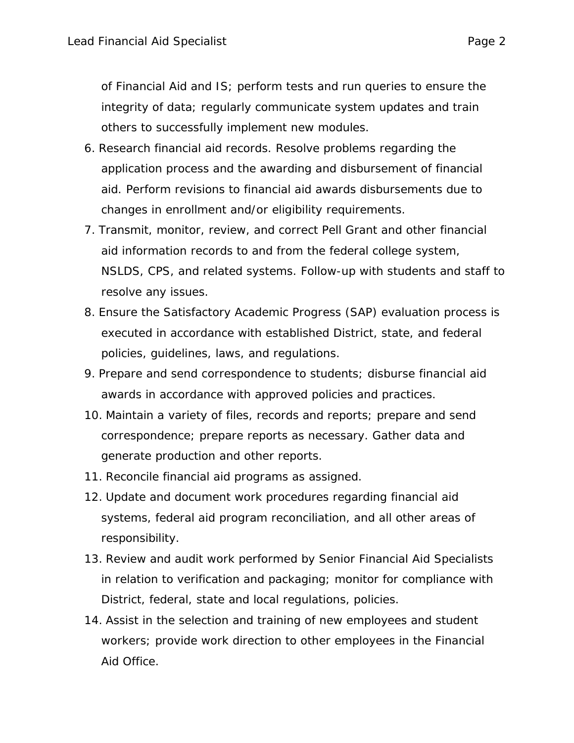of Financial Aid and IS; perform tests and run queries to ensure the integrity of data; regularly communicate system updates and train others to successfully implement new modules.

- 6. Research financial aid records. Resolve problems regarding the application process and the awarding and disbursement of financial aid. Perform revisions to financial aid awards disbursements due to changes in enrollment and/or eligibility requirements.
- 7. Transmit, monitor, review, and correct Pell Grant and other financial aid information records to and from the federal college system, NSLDS, CPS, and related systems. Follow-up with students and staff to resolve any issues.
- 8. Ensure the Satisfactory Academic Progress (SAP) evaluation process is executed in accordance with established District, state, and federal policies, guidelines, laws, and regulations.
- 9. Prepare and send correspondence to students; disburse financial aid awards in accordance with approved policies and practices.
- 10. Maintain a variety of files, records and reports; prepare and send correspondence; prepare reports as necessary. Gather data and generate production and other reports.
- 11. Reconcile financial aid programs as assigned.
- 12. Update and document work procedures regarding financial aid systems, federal aid program reconciliation, and all other areas of responsibility.
- 13. Review and audit work performed by Senior Financial Aid Specialists in relation to verification and packaging; monitor for compliance with District, federal, state and local regulations, policies.
- 14. Assist in the selection and training of new employees and student workers; provide work direction to other employees in the Financial Aid Office.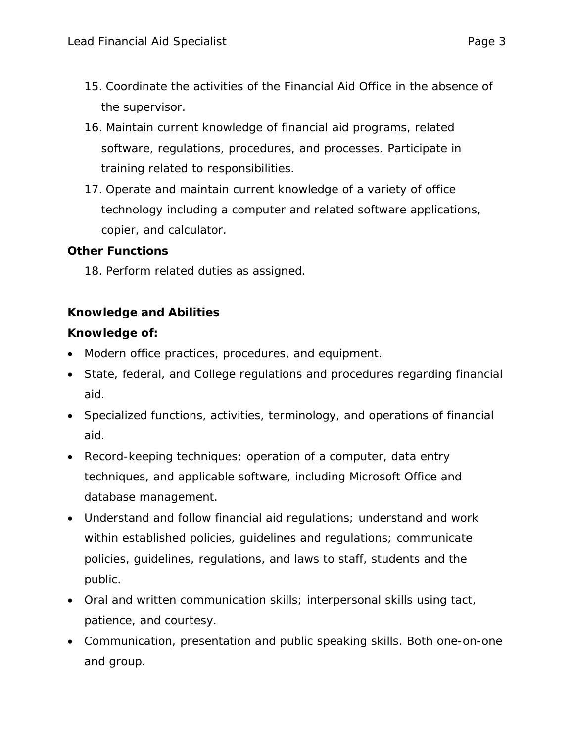- 15. Coordinate the activities of the Financial Aid Office in the absence of the supervisor.
- 16. Maintain current knowledge of financial aid programs, related software, regulations, procedures, and processes. Participate in training related to responsibilities.
- 17. Operate and maintain current knowledge of a variety of office technology including a computer and related software applications, copier, and calculator.

## **Other Functions**

18. Perform related duties as assigned.

## **Knowledge and Abilities**

#### **Knowledge of:**

- Modern office practices, procedures, and equipment.
- State, federal, and College regulations and procedures regarding financial aid.
- Specialized functions, activities, terminology, and operations of financial aid.
- Record-keeping techniques; operation of a computer, data entry techniques, and applicable software, including Microsoft Office and database management.
- Understand and follow financial aid regulations; understand and work within established policies, guidelines and regulations; communicate policies, guidelines, regulations, and laws to staff, students and the public.
- Oral and written communication skills; interpersonal skills using tact, patience, and courtesy.
- Communication, presentation and public speaking skills. Both one-on-one and group.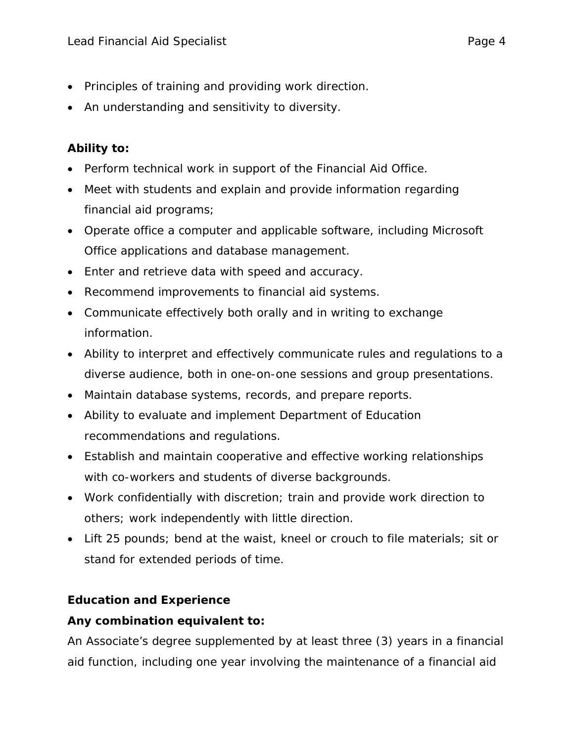- Principles of training and providing work direction.
- An understanding and sensitivity to diversity.

# **Ability to:**

- Perform technical work in support of the Financial Aid Office.
- Meet with students and explain and provide information regarding financial aid programs;
- Operate office a computer and applicable software, including Microsoft Office applications and database management.
- Enter and retrieve data with speed and accuracy.
- Recommend improvements to financial aid systems.
- Communicate effectively both orally and in writing to exchange information.
- Ability to interpret and effectively communicate rules and regulations to a diverse audience, both in one-on-one sessions and group presentations.
- Maintain database systems, records, and prepare reports.
- Ability to evaluate and implement Department of Education recommendations and regulations.
- Establish and maintain cooperative and effective working relationships with co-workers and students of diverse backgrounds.
- Work confidentially with discretion; train and provide work direction to others; work independently with little direction.
- Lift 25 pounds; bend at the waist, kneel or crouch to file materials; sit or stand for extended periods of time.

## **Education and Experience**

## **Any combination equivalent to:**

An Associate's degree supplemented by at least three (3) years in a financial aid function, including one year involving the maintenance of a financial aid